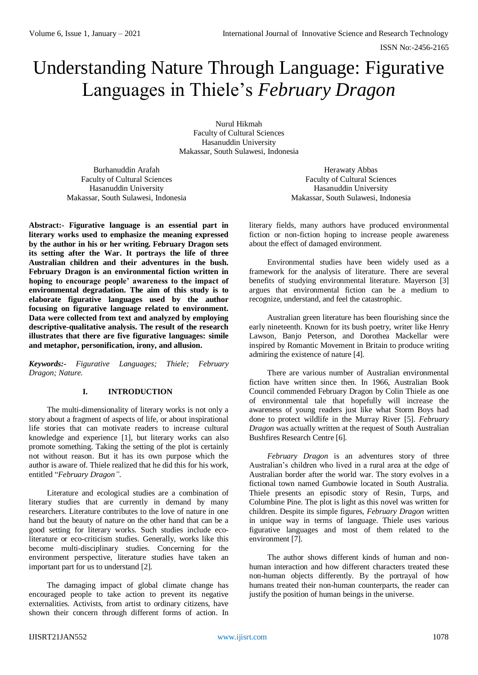# Understanding Nature Through Language: Figurative Languages in Thiele's *February Dragon*

Nurul Hikmah Faculty of Cultural Sciences Hasanuddin University Makassar, South Sulawesi, Indonesia

Burhanuddin Arafah Faculty of Cultural Sciences Hasanuddin University Makassar, South Sulawesi, Indonesia

**Abstract:- Figurative language is an essential part in literary works used to emphasize the meaning expressed by the author in his or her writing. February Dragon sets its setting after the War. It portrays the life of three Australian children and their adventures in the bush. February Dragon is an environmental fiction written in hoping to encourage people' awareness to the impact of environmental degradation. The aim of this study is to elaborate figurative languages used by the author focusing on figurative language related to environment. Data were collected from text and analyzed by employing descriptive-qualitative analysis. The result of the research illustrates that there are five figurative languages: simile and metaphor, personification, irony, and allusion.**

*Keywords:- Figurative Languages; Thiele; February Dragon; Nature.*

# **I. INTRODUCTION**

The multi-dimensionality of literary works is not only a story about a fragment of aspects of life, or about inspirational life stories that can motivate readers to increase cultural knowledge and experience [1], but literary works can also promote something. Taking the setting of the plot is certainly not without reason. But it has its own purpose which the author is aware of. Thiele realized that he did this for his work, entitled "*February Dragon"*.

Literature and ecological studies are a combination of literary studies that are currently in demand by many researchers. Literature contributes to the love of nature in one hand but the beauty of nature on the other hand that can be a good setting for literary works. Such studies include ecoliterature or eco-criticism studies. Generally, works like this become multi-disciplinary studies. Concerning for the environment perspective, literature studies have taken an important part for us to understand [2].

The damaging impact of global climate change has encouraged people to take action to prevent its negative externalities. Activists, from artist to ordinary citizens, have shown their concern through different forms of action. In

Herawaty Abbas Faculty of Cultural Sciences Hasanuddin University Makassar, South Sulawesi, Indonesia

literary fields, many authors have produced environmental fiction or non-fiction hoping to increase people awareness about the effect of damaged environment.

Environmental studies have been widely used as a framework for the analysis of literature. There are several benefits of studying environmental literature. Mayerson [3] argues that environmental fiction can be a medium to recognize, understand, and feel the catastrophic.

Australian green literature has been flourishing since the early nineteenth. Known for its bush poetry, writer like Henry Lawson, Banjo Peterson, and Dorothea Mackellar were inspired by Romantic Movement in Britain to produce writing admiring the existence of nature [4].

There are various number of Australian environmental fiction have written since then. In 1966, Australian Book Council commended February Dragon by Colin Thiele as one of environmental tale that hopefully will increase the awareness of young readers just like what Storm Boys had done to protect wildlife in the Murray River [5]. *February Dragon* was actually written at the request of South Australian Bushfires Research Centre [6].

*February Dragon* is an adventures story of three Australian's children who lived in a rural area at the edge of Australian border after the world war. The story evolves in a fictional town named Gumbowie located in South Australia. Thiele presents an episodic story of Resin, Turps, and Columbine Pine. The plot is light as this novel was written for children. Despite its simple figures, *February Dragon* written in unique way in terms of language. Thiele uses various figurative languages and most of them related to the environment [7].

The author shows different kinds of human and nonhuman interaction and how different characters treated these non-human objects differently. By the portrayal of how humans treated their non-human counterparts, the reader can justify the position of human beings in the universe.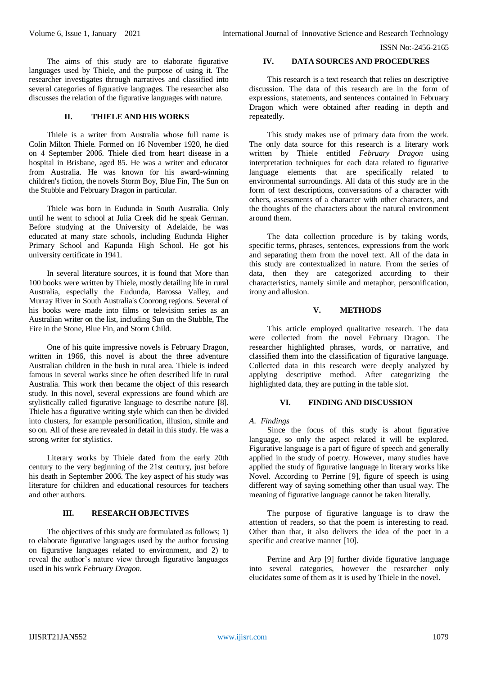The aims of this study are to elaborate figurative languages used by Thiele, and the purpose of using it. The researcher investigates through narratives and classified into several categories of figurative languages. The researcher also discusses the relation of the figurative languages with nature.

## **II. THIELE AND HIS WORKS**

Thiele is a writer from Australia whose full name is Colin Milton Thiele. Formed on 16 November 1920, he died on 4 September 2006. Thiele died from heart disease in a hospital in Brisbane, aged 85. He was a writer and educator from Australia. He was known for his award-winning children's fiction, the novels Storm Boy, Blue Fin, The Sun on the Stubble and February Dragon in particular.

Thiele was born in Eudunda in South Australia. Only until he went to school at Julia Creek did he speak German. Before studying at the University of Adelaide, he was educated at many state schools, including Eudunda Higher Primary School and Kapunda High School. He got his university certificate in 1941.

In several literature sources, it is found that More than 100 books were written by Thiele, mostly detailing life in rural Australia, especially the Eudunda, Barossa Valley, and Murray River in South Australia's Coorong regions. Several of his books were made into films or television series as an Australian writer on the list, including Sun on the Stubble, The Fire in the Stone, Blue Fin, and Storm Child.

One of his quite impressive novels is February Dragon, written in 1966, this novel is about the three adventure Australian children in the bush in rural area. Thiele is indeed famous in several works since he often described life in rural Australia. This work then became the object of this research study. In this novel, several expressions are found which are stylistically called figurative language to describe nature [8]. Thiele has a figurative writing style which can then be divided into clusters, for example personification, illusion, simile and so on. All of these are revealed in detail in this study. He was a strong writer for stylistics.

Literary works by Thiele dated from the early 20th century to the very beginning of the 21st century, just before his death in September 2006. The key aspect of his study was literature for children and educational resources for teachers and other authors.

# **III. RESEARCH OBJECTIVES**

The objectives of this study are formulated as follows; 1) to elaborate figurative languages used by the author focusing on figurative languages related to environment, and 2) to reveal the author's nature view through figurative languages used in his work *February Dragon*.

## **IV. DATA SOURCES AND PROCEDURES**

This research is a text research that relies on descriptive discussion. The data of this research are in the form of expressions, statements, and sentences contained in February Dragon which were obtained after reading in depth and repeatedly.

This study makes use of primary data from the work. The only data source for this research is a literary work written by Thiele entitled *February Dragon* using interpretation techniques for each data related to figurative language elements that are specifically related to environmental surroundings. All data of this study are in the form of text descriptions, conversations of a character with others, assessments of a character with other characters, and the thoughts of the characters about the natural environment around them.

The data collection procedure is by taking words, specific terms, phrases, sentences, expressions from the work and separating them from the novel text. All of the data in this study are contextualized in nature. From the series of data, then they are categorized according to their characteristics, namely simile and metaphor, personification, irony and allusion.

## **V. METHODS**

This article employed qualitative research. The data were collected from the novel February Dragon. The researcher highlighted phrases, words, or narrative, and classified them into the classification of figurative language. Collected data in this research were deeply analyzed by applying descriptive method. After categorizing the highlighted data, they are putting in the table slot.

# **VI. FINDING AND DISCUSSION**

# *A. Findings*

Since the focus of this study is about figurative language, so only the aspect related it will be explored. Figurative language is a part of figure of speech and generally applied in the study of poetry. However, many studies have applied the study of figurative language in literary works like Novel. According to Perrine [9], figure of speech is using different way of saying something other than usual way. The meaning of figurative language cannot be taken literally.

The purpose of figurative language is to draw the attention of readers, so that the poem is interesting to read. Other than that, it also delivers the idea of the poet in a specific and creative manner [10].

Perrine and Arp [9] further divide figurative language into several categories, however the researcher only elucidates some of them as it is used by Thiele in the novel.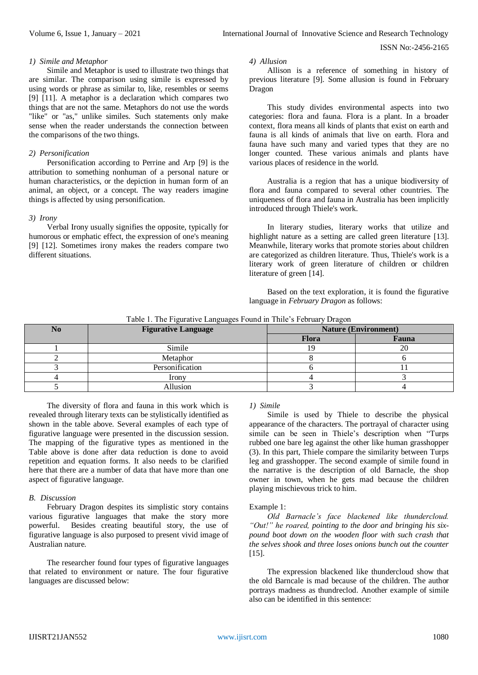#### *1) Simile and Metaphor*

Simile and Metaphor is used to illustrate two things that are similar. The comparison using simile is expressed by using words or phrase as similar to, like, resembles or seems [9] [11]. A metaphor is a declaration which compares two things that are not the same. Metaphors do not use the words "like" or "as," unlike similes. Such statements only make sense when the reader understands the connection between the comparisons of the two things.

# *2) Personification*

Personification according to Perrine and Arp [9] is the attribution to something nonhuman of a personal nature or human characteristics, or the depiction in human form of an animal, an object, or a concept. The way readers imagine things is affected by using personification.

## *3) Irony*

Verbal Irony usually signifies the opposite, typically for humorous or emphatic effect, the expression of one's meaning [9] [12]. Sometimes irony makes the readers compare two different situations.

## *4) Allusion*

Allison is a reference of something in history of previous literature [9]. Some allusion is found in February Dragon

This study divides environmental aspects into two categories: flora and fauna. Flora is a plant. In a broader context, flora means all kinds of plants that exist on earth and fauna is all kinds of animals that live on earth. Flora and fauna have such many and varied types that they are no longer counted. These various animals and plants have various places of residence in the world.

Australia is a region that has a unique biodiversity of flora and fauna compared to several other countries. The uniqueness of flora and fauna in Australia has been implicitly introduced through Thiele's work.

In literary studies, literary works that utilize and highlight nature as a setting are called green literature [13]. Meanwhile, literary works that promote stories about children are categorized as children literature. Thus, Thiele's work is a literary work of green literature of children or children literature of green [14].

Based on the text exploration, it is found the figurative language in *February Dragon* as follows:

| No | <b>Figurative Language</b> | <b>Nature (Environment)</b> |       |
|----|----------------------------|-----------------------------|-------|
|    |                            | <b>Flora</b>                | Fauna |
|    | Simile                     |                             |       |
|    | Metaphor                   |                             |       |
|    | Personification            |                             |       |
|    | Irony                      |                             |       |

5 Allusion 1 3 4

Table 1. The Figurative Languages Found in Thile's February Dragon

The diversity of flora and fauna in this work which is revealed through literary texts can be stylistically identified as shown in the table above. Several examples of each type of figurative language were presented in the discussion session. The mapping of the figurative types as mentioned in the Table above is done after data reduction is done to avoid repetition and equation forms. It also needs to be clarified here that there are a number of data that have more than one aspect of figurative language.

## *B. Discussion*

February Dragon despites its simplistic story contains various figurative languages that make the story more powerful. Besides creating beautiful story, the use of figurative language is also purposed to present vivid image of Australian nature.

The researcher found four types of figurative languages that related to environment or nature. The four figurative languages are discussed below:

# *1) Simile*

Simile is used by Thiele to describe the physical appearance of the characters. The portrayal of character using simile can be seen in Thiele's description when "Turps rubbed one bare leg against the other like human grasshopper (3). In this part, Thiele compare the similarity between Turps leg and grasshopper. The second example of simile found in the narrative is the description of old Barnacle, the shop owner in town, when he gets mad because the children playing mischievous trick to him.

## Example 1:

*Old Barnacle's face blackened like thundercloud. "Out!" he roared, pointing to the door and bringing his sixpound boot down on the wooden floor with such crash that the selves shook and three loses onions bunch out the counter* [15].

The expression blackened like thundercloud show that the old Barncale is mad because of the children. The author portrays madness as thundreclod. Another example of simile also can be identified in this sentence: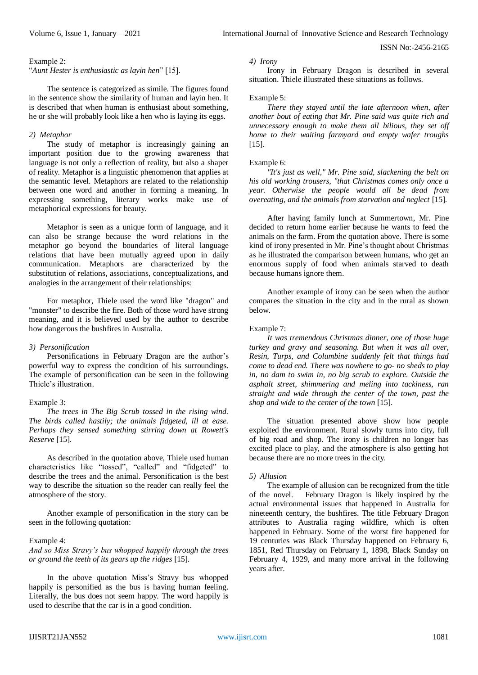### Example 2:

"*Aunt Hester is enthusiastic as layin hen*" [15].

The sentence is categorized as simile. The figures found in the sentence show the similarity of human and layin hen. It is described that when human is enthusiast about something, he or she will probably look like a hen who is laying its eggs.

## *2) Metaphor*

The study of metaphor is increasingly gaining an important position due to the growing awareness that language is not only a reflection of reality, but also a shaper of reality. Metaphor is a linguistic phenomenon that applies at the semantic level. Metaphors are related to the relationship between one word and another in forming a meaning. In expressing something, literary works make use of metaphorical expressions for beauty.

Metaphor is seen as a unique form of language, and it can also be strange because the word relations in the metaphor go beyond the boundaries of literal language relations that have been mutually agreed upon in daily communication. Metaphors are characterized by the substitution of relations, associations, conceptualizations, and analogies in the arrangement of their relationships:

For metaphor, Thiele used the word like "dragon" and "monster" to describe the fire. Both of those word have strong meaning, and it is believed used by the author to describe how dangerous the bushfires in Australia.

# *3) Personification*

Personifications in February Dragon are the author's powerful way to express the condition of his surroundings. The example of personification can be seen in the following Thiele's illustration.

## Example 3:

*The trees in The Big Scrub tossed in the rising wind. The birds called hastily; the animals fidgeted, ill at ease. Perhaps they sensed something stirring down at Rowett's Reserve* [15].

As described in the quotation above, Thiele used human characteristics like "tossed", "called" and "fidgeted" to describe the trees and the animal. Personification is the best way to describe the situation so the reader can really feel the atmosphere of the story.

Another example of personification in the story can be seen in the following quotation:

#### Example 4:

*And so Miss Stravy's bus whopped happily through the trees or ground the teeth of its gears up the ridges* [15].

In the above quotation Miss's Stravy bus whopped happily is personified as the bus is having human feeling. Literally, the bus does not seem happy. The word happily is used to describe that the car is in a good condition.

#### *4) Irony*

Irony in February Dragon is described in several situation. Thiele illustrated these situations as follows.

#### Example 5:

*There they stayed until the late afternoon when, after another bout of eating that Mr. Pine said was quite rich and unnecessary enough to make them all bilious, they set off home to their waiting farmyard and empty wafer troughs* [15].

#### Example 6:

*"It's just as well," Mr. Pine said, slackening the belt on his old working trousers, "that Christmas comes only once a year. Otherwise the people would all be dead from overeating, and the animals from starvation and neglect* [15].

After having family lunch at Summertown, Mr. Pine decided to return home earlier because he wants to feed the animals on the farm. From the quotation above. There is some kind of irony presented in Mr. Pine's thought about Christmas as he illustrated the comparison between humans, who get an enormous supply of food when animals starved to death because humans ignore them.

Another example of irony can be seen when the author compares the situation in the city and in the rural as shown below.

## Example 7:

*It was tremendous Christmas dinner, one of those huge turkey and gravy and seasoning. But when it was all over, Resin, Turps, and Columbine suddenly felt that things had come to dead end. There was nowhere to go- no sheds to play in, no dam to swim in, no big scrub to explore. Outside the asphalt street, shimmering and meling into tackiness, ran straight and wide through the center of the town, past the shop and wide to the center of the town* [15].

The situation presented above show how people exploited the environment. Rural slowly turns into city, full of big road and shop. The irony is children no longer has excited place to play, and the atmosphere is also getting hot because there are no more trees in the city.

#### *5) Allusion*

The example of allusion can be recognized from the title of the novel. February Dragon is likely inspired by the actual environmental issues that happened in Australia for nineteenth century, the bushfires. The title February Dragon attributes to Australia raging wildfire, which is often happened in February. Some of the worst fire happened for 19 centuries was Black Thursday happened on February 6, 1851, Red Thursday on February 1, 1898, Black Sunday on February 4, 1929, and many more arrival in the following years after.